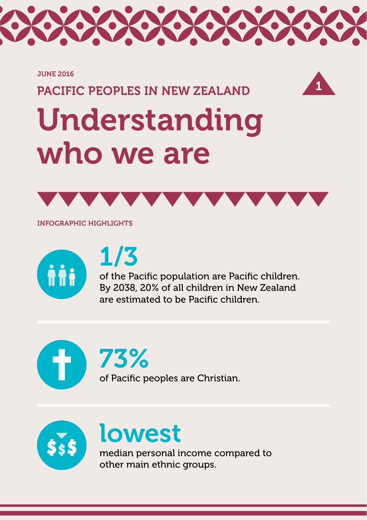

#### JUNE 2016

# PACIFIC PEOPLES IN NEW ZEALAND



# Understanding who we are



INFOGRAPHIC HIGHLIGHTS



# 1/3

of the Pacific population are Pacific children. By 2038, 20% of all children in New Zealand are estimated to be Pacific children.

73% of Pacific peoples are Christian.



# lowest

median personal income compared to other main ethnic groups.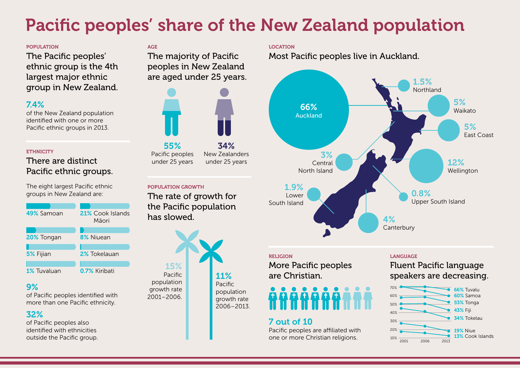# Pacific peoples' share of the New Zealand population

### POPUL ATION

The Pacific peoples' ethnic group is the 4th largest major ethnic group in New Zealand.

# 7.4%

of the New Zealand population identified with one or more Pacific ethnic groups in 2013.

## **ETHNICITY**

# There are distinct Pacific ethnic groups.

The eight largest Pacific ethnic groups in New Zealand are:



# 9%

of Pacific peoples identified with more than one Pacific ethnicity.

# 32%

of Pacific peoples also identified with ethnicities outside the Pacific group.

# AGE

The majority of Pacific peoples in New Zealand are aged under 25 years.



## POPUL ATION GROWTH

The rate of growth for the Pacific population has slowed.



## LOCATION

Most Pacific peoples live in Auckland.



### RELIGION

More Pacific peoples are Christian.

# 7 out of 10

Pacific peoples are affiliated with one or more Christian religions.

### LANGUAGE

Fluent Pacific language speakers are decreasing.

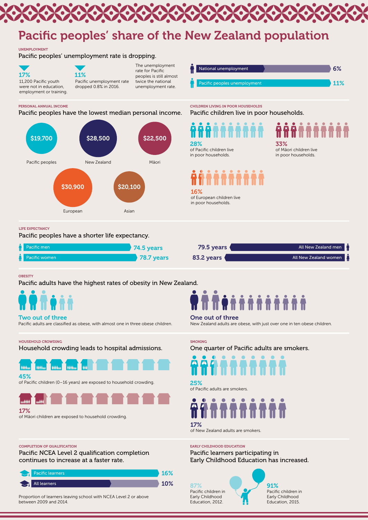#### HOUSEHOLD CROWDING

Household crowding leads to hospital admissions.



One quarter of Pacific adults are smokers.

### 45%

of Pacific children (0–16 years) are exposed to household crowding.



91% Pacific children in Early Childhood Education, 2015.

# 17% of Māori children are exposed to household crowding.

Pacific adults are classified as obese, with almost one in three obese children.

### 25% of Pacific adults are smokers.

**SMOKING** 



New Zealand adults are obese, with just over one in ten obese children.





### UNEMPLOYMENT

Pacific peoples' unemployment rate is dropping.

#### COMPLETION OF QUALIFICATION

Pacific NCEA Level 2 qualification completion continues to increase at a faster rate.

#### EARLY CHILDHOOD EDUCATION

Pacific learners participating in Early Childhood Education has increased.



# Pacific peoples' share of the New Zealand population

Proportion of learners leaving school with NCEA Level 2 or above between 2009 and 2014.